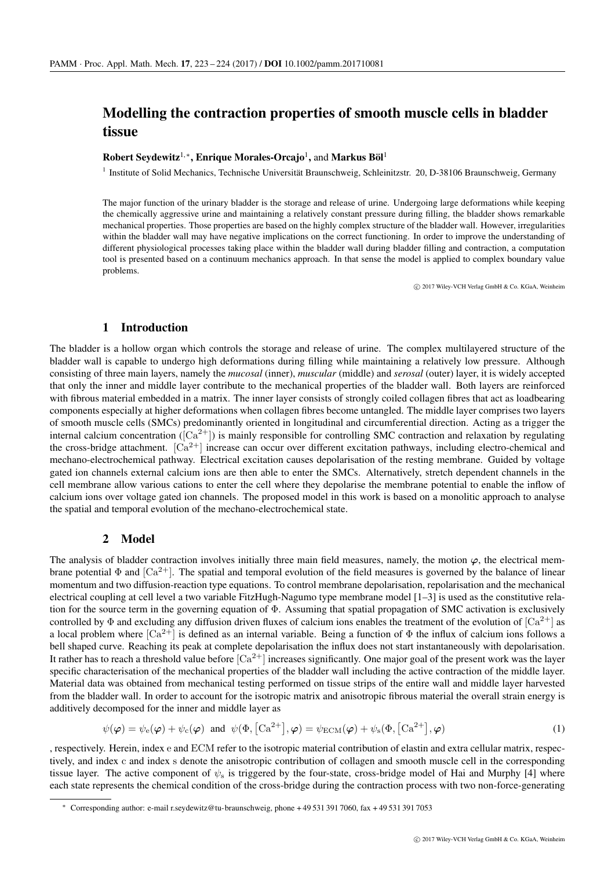# Modelling the contraction properties of smooth muscle cells in bladder tissue

### Robert Seydewitz<sup>1,\*</sup>, Enrique Morales-Orcajo<sup>1</sup>, and Markus Böl<sup>1</sup>

<sup>1</sup> Institute of Solid Mechanics, Technische Universität Braunschweig, Schleinitzstr. 20, D-38106 Braunschweig, Germany

The major function of the urinary bladder is the storage and release of urine. Undergoing large deformations while keeping the chemically aggressive urine and maintaining a relatively constant pressure during filling, the bladder shows remarkable mechanical properties. Those properties are based on the highly complex structure of the bladder wall. However, irregularities within the bladder wall may have negative implications on the correct functioning. In order to improve the understanding of different physiological processes taking place within the bladder wall during bladder filling and contraction, a computation tool is presented based on a continuum mechanics approach. In that sense the model is applied to complex boundary value problems.

c 2017 Wiley-VCH Verlag GmbH & Co. KGaA, Weinheim

#### 1 Introduction

The bladder is a hollow organ which controls the storage and release of urine. The complex multilayered structure of the bladder wall is capable to undergo high deformations during filling while maintaining a relatively low pressure. Although consisting of three main layers, namely the *mucosal* (inner), *muscular* (middle) and *serosal* (outer) layer, it is widely accepted that only the inner and middle layer contribute to the mechanical properties of the bladder wall. Both layers are reinforced with fibrous material embedded in a matrix. The inner layer consists of strongly coiled collagen fibres that act as loadbearing components especially at higher deformations when collagen fibres become untangled. The middle layer comprises two layers of smooth muscle cells (SMCs) predominantly oriented in longitudinal and circumferential direction. Acting as a trigger the internal calcium concentration ( $[Ca^{2+}]$ ) is mainly responsible for controlling SMC contraction and relaxation by regulating the cross-bridge attachment.  $[Ca^{2+}]$  increase can occur over different excitation pathways, including electro-chemical and mechano-electrochemical pathway. Electrical excitation causes depolarisation of the resting membrane. Guided by voltage gated ion channels external calcium ions are then able to enter the SMCs. Alternatively, stretch dependent channels in the cell membrane allow various cations to enter the cell where they depolarise the membrane potential to enable the inflow of calcium ions over voltage gated ion channels. The proposed model in this work is based on a monolitic approach to analyse the spatial and temporal evolution of the mechano-electrochemical state.

#### 2 Model

The analysis of bladder contraction involves initially three main field measures, namely, the motion  $\varphi$ , the electrical membrane potential  $\Phi$  and  $\lbrack Ca^{2+}\rbrack$ . The spatial and temporal evolution of the field measures is governed by the balance of linear momentum and two diffusion-reaction type equations. To control membrane depolarisation, repolarisation and the mechanical electrical coupling at cell level a two variable FitzHugh-Nagumo type membrane model [1–3] is used as the constitutive relation for the source term in the governing equation of Φ. Assuming that spatial propagation of SMC activation is exclusively controlled by  $\Phi$  and excluding any diffusion driven fluxes of calcium ions enables the treatment of the evolution of  $\lceil Ca^{2+} \rceil$  as a local problem where  $[Ca^{2+}]$  is defined as an internal variable. Being a function of  $\Phi$  the influx of calcium ions follows a bell shaped curve. Reaching its peak at complete depolarisation the influx does not start instantaneously with depolarisation. It rather has to reach a threshold value before  $\left[Ca^{2+}\right]$  increases significantly. One major goal of the present work was the layer specific characterisation of the mechanical properties of the bladder wall including the active contraction of the middle layer. Material data was obtained from mechanical testing performed on tissue strips of the entire wall and middle layer harvested from the bladder wall. In order to account for the isotropic matrix and anisotropic fibrous material the overall strain energy is additively decomposed for the inner and middle layer as

$$
\psi(\varphi) = \psi_{\rm e}(\varphi) + \psi_{\rm c}(\varphi) \text{ and } \psi(\Phi, [\text{Ca}^{2+}], \varphi) = \psi_{\rm ECM}(\varphi) + \psi_{\rm s}(\Phi, [\text{Ca}^{2+}], \varphi)
$$
\n(1)

, respectively. Herein, index e and ECM refer to the isotropic material contribution of elastin and extra cellular matrix, respectively, and index c and index s denote the anisotropic contribution of collagen and smooth muscle cell in the corresponding tissue layer. The active component of  $\psi_s$  is triggered by the four-state, cross-bridge model of Hai and Murphy [4] where each state represents the chemical condition of the cross-bridge during the contraction process with two non-force-generating

<sup>∗</sup> Corresponding author: e-mail r.seydewitz@tu-braunschweig, phone + 49 531 391 7060, fax + 49 531 391 7053